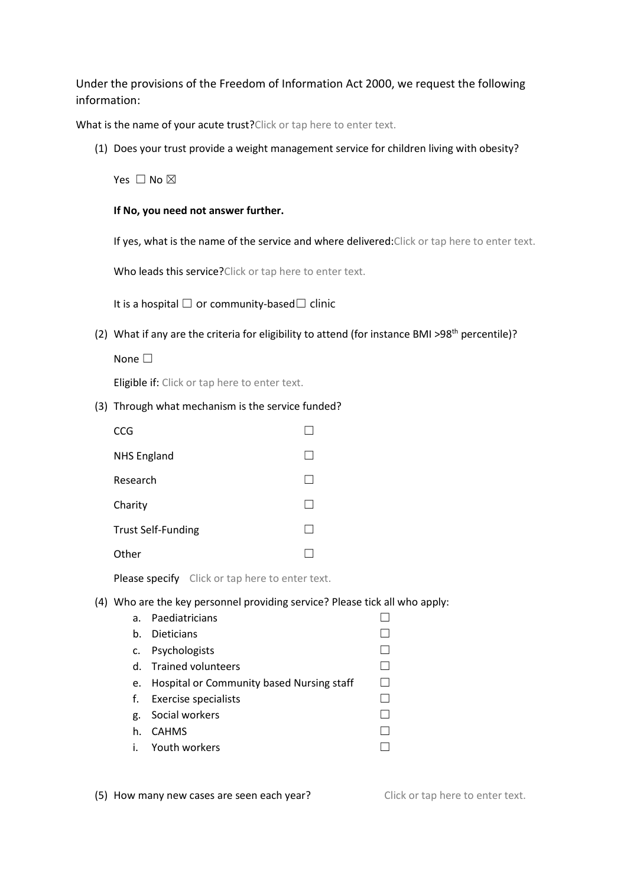Under the provisions of the Freedom of Information Act 2000, we request the following information:

What is the name of your acute trust? Click or tap here to enter text.

(1) Does your trust provide a weight management service for children living with obesity?

Yes □ No ⊠

**If No, you need not answer further.**

If yes, what is the name of the service and where delivered: Click or tap here to enter text.

Who leads this service? Click or tap here to enter text.

It is a hospital  $□$  or community-based $□$  clinic

(2) What if any are the criteria for eligibility to attend (for instance BMI >98<sup>th</sup> percentile)?

None <del>□</del>

Eligible if: Click or tap here to enter text.

## (3) Through what mechanism is the service funded?

| <b>CCG</b>                |  |
|---------------------------|--|
| <b>NHS England</b>        |  |
| Research                  |  |
| Charity                   |  |
| <b>Trust Self-Funding</b> |  |
| Other                     |  |

Please specify Click or tap here to enter text.

## (4) Who are the key personnel providing service? Please tick all who apply:

| a. | Paediatricians                            |  |
|----|-------------------------------------------|--|
| b. | <b>Dieticians</b>                         |  |
| c. | Psychologists                             |  |
|    | d. Trained volunteers                     |  |
| e. | Hospital or Community based Nursing staff |  |
|    | f. Exercise specialists                   |  |
| g. | Social workers                            |  |
| h. | <b>CAHMS</b>                              |  |
|    | i. Youth workers                          |  |

(5) How many new cases are seen each year? Click or tap here to enter text.